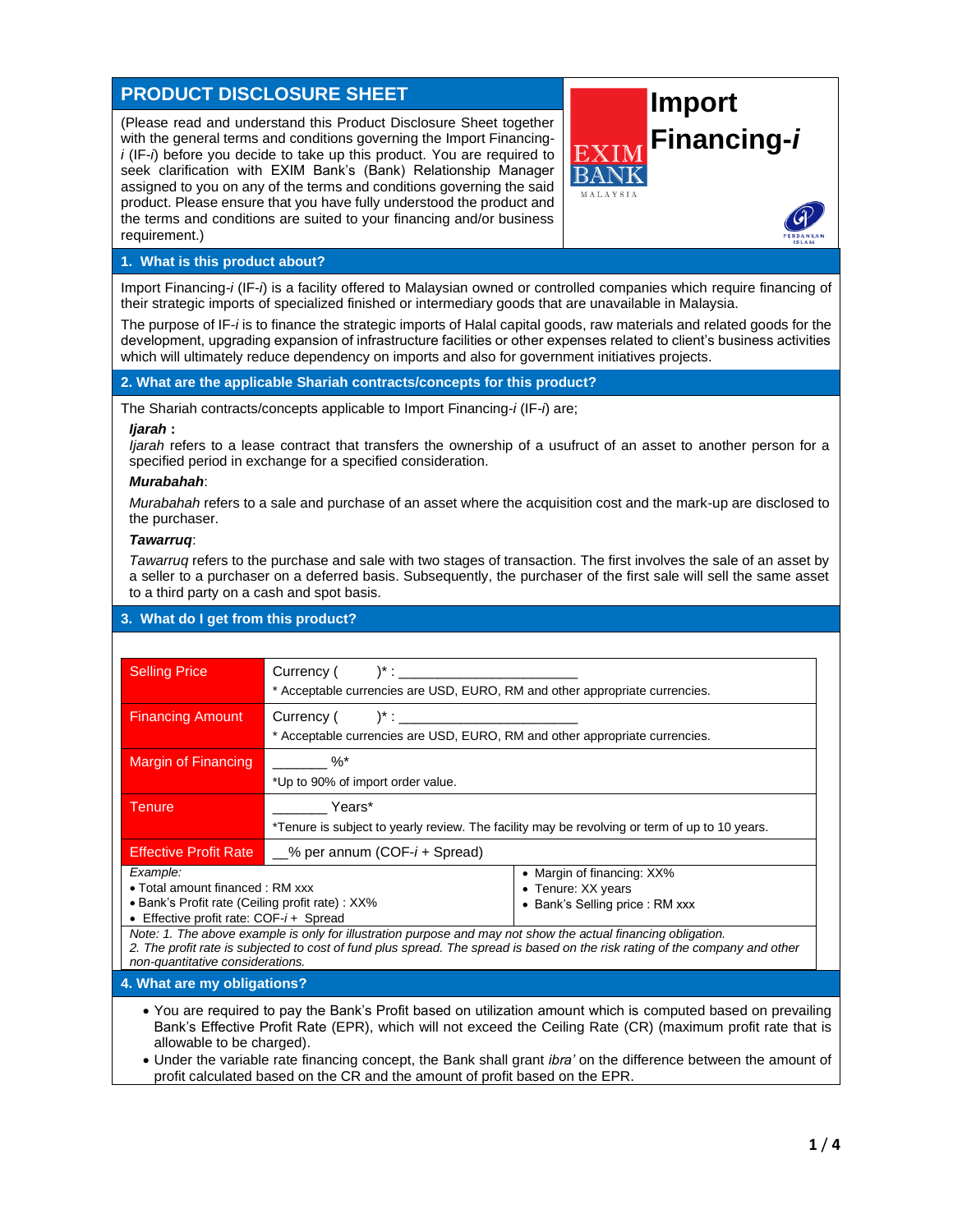# **PRODUCT DISCLOSURE SHEET**

(Please read and understand this Product Disclosure Sheet together with the general terms and conditions governing the Import Financing*i* (IF-*i*) before you decide to take up this product. You are required to seek clarification with EXIM Bank's (Bank) Relationship Manager assigned to you on any of the terms and conditions governing the said product. Please ensure that you have fully understood the product and the terms and conditions are suited to your financing and/or business requirement.)



# **1. What is this product about?**

Import Financing*-i* (IF-*i*) is a facility offered to Malaysian owned or controlled companies which require financing of their strategic imports of specialized finished or intermediary goods that are unavailable in Malaysia.

The purpose of IF-*i* is to finance the strategic imports of Halal capital goods, raw materials and related goods for the development, upgrading expansion of infrastructure facilities or other expenses related to client's business activities which will ultimately reduce dependency on imports and also for government initiatives projects.

## **2. What are the applicable Shariah contracts/concepts for this product?**

The Shariah contracts/concepts applicable to Import Financing*-i* (IF*-i*) are;

#### *Ijarah* **:**

*Ijarah* refers to a lease contract that transfers the ownership of a usufruct of an asset to another person for a specified period in exchange for a specified consideration.

#### *Murabahah*:

*Murabahah* refers to a sale and purchase of an asset where the acquisition cost and the mark-up are disclosed to the purchaser.

#### *Tawarruq*:

*Tawarruq* refers to the purchase and sale with two stages of transaction. The first involves the sale of an asset by a seller to a purchaser on a deferred basis. Subsequently, the purchaser of the first sale will sell the same asset to a third party on a cash and spot basis.

#### **3. What do I get from this product?**

| <b>Selling Price</b>                             | Currency (<br>$)^{*}$ :                                                                                 |                                 |  |
|--------------------------------------------------|---------------------------------------------------------------------------------------------------------|---------------------------------|--|
|                                                  | * Acceptable currencies are USD, EURO, RM and other appropriate currencies.                             |                                 |  |
| <b>Financing Amount</b>                          |                                                                                                         |                                 |  |
|                                                  | * Acceptable currencies are USD, EURO, RM and other appropriate currencies.                             |                                 |  |
| Margin of Financing                              | $\%^*$                                                                                                  |                                 |  |
|                                                  | *Up to 90% of import order value.                                                                       |                                 |  |
| Tenure                                           | Years*<br>*Tenure is subject to yearly review. The facility may be revolving or term of up to 10 years. |                                 |  |
|                                                  |                                                                                                         |                                 |  |
| <b>Effective Profit Rate</b>                     | % per annum (COF- <i>i</i> + Spread)                                                                    |                                 |  |
| Example:                                         |                                                                                                         | • Margin of financing: XX%      |  |
| • Total amount financed: RM xxx                  |                                                                                                         | • Tenure: XX years              |  |
| • Bank's Profit rate (Ceiling profit rate) : XX% |                                                                                                         | • Bank's Selling price : RM xxx |  |
| • Effective profit rate: $COF-i+$ Spread         |                                                                                                         |                                 |  |

*2. The profit rate is subjected to cost of fund plus spread. The spread is based on the risk rating of the company and other non-quantitative considerations.*

### **4. What are my obligations?**

- You are required to pay the Bank's Profit based on utilization amount which is computed based on prevailing Bank's Effective Profit Rate (EPR), which will not exceed the Ceiling Rate (CR) (maximum profit rate that is allowable to be charged).
- Under the variable rate financing concept, the Bank shall grant *ibra'* on the difference between the amount of profit calculated based on the CR and the amount of profit based on the EPR.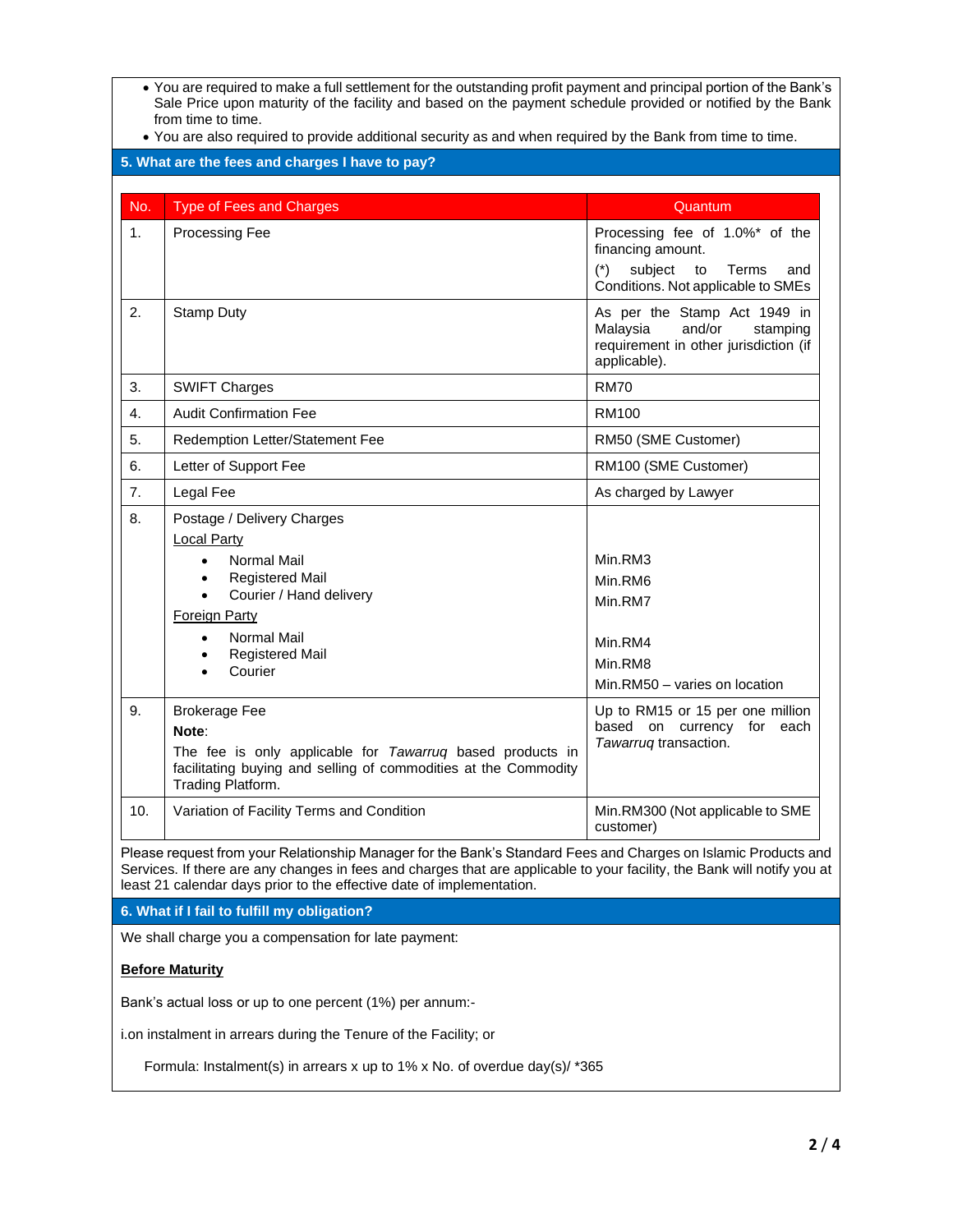- You are required to make a full settlement for the outstanding profit payment and principal portion of the Bank's Sale Price upon maturity of the facility and based on the payment schedule provided or notified by the Bank from time to time.
- You are also required to provide additional security as and when required by the Bank from time to time.

| No.<br><b>Type of Fees and Charges</b><br>Quantum<br>1.<br>Processing fee of 1.0%* of the<br><b>Processing Fee</b><br>financing amount.<br>$(*)$<br>subject<br>to<br>Terms<br>and<br>Conditions. Not applicable to SMEs<br>2.<br>As per the Stamp Act 1949 in<br><b>Stamp Duty</b><br>Malaysia<br>and/or<br>stamping<br>requirement in other jurisdiction (if<br>applicable).<br><b>RM70</b><br><b>SWIFT Charges</b><br>3.<br><b>Audit Confirmation Fee</b><br><b>RM100</b><br>4.<br>5.<br>Redemption Letter/Statement Fee<br>RM50 (SME Customer)<br>Letter of Support Fee<br>RM100 (SME Customer)<br>6.<br>7.<br>Legal Fee<br>As charged by Lawyer<br>8.<br>Postage / Delivery Charges<br><b>Local Party</b><br>Min.RM3<br><b>Normal Mail</b><br><b>Registered Mail</b><br>$\bullet$<br>Min.RM6<br>Courier / Hand delivery<br>$\bullet$<br>Min.RM7<br><b>Foreign Party</b><br>Normal Mail<br>$\bullet$<br>Min.RM4<br><b>Registered Mail</b><br>Min.RM8<br>Courier<br>Min.RM50 - varies on location<br>9.<br><b>Brokerage Fee</b><br>Up to RM15 or 15 per one million<br>based on currency for each<br>Note:<br>Tawarruq transaction.<br>The fee is only applicable for Tawarruq based products in<br>facilitating buying and selling of commodities at the Commodity<br>Trading Platform.<br>10.<br>Variation of Facility Terms and Condition<br>Min.RM300 (Not applicable to SME<br>customer)<br>Please request from your Relationship Manager for the Bank's Standard Fees and Charges on Islamic Products and<br>Services. If there are any changes in fees and charges that are applicable to your facility, the Bank will notify you at<br>least 21 calendar days prior to the effective date of implementation.<br>6. What if I fail to fulfill my obligation?<br>We shall charge you a compensation for late payment:<br><b>Before Maturity</b><br>Bank's actual loss or up to one percent (1%) per annum:- | 5. What are the fees and charges I have to pay? |  |  |  |  |
|---------------------------------------------------------------------------------------------------------------------------------------------------------------------------------------------------------------------------------------------------------------------------------------------------------------------------------------------------------------------------------------------------------------------------------------------------------------------------------------------------------------------------------------------------------------------------------------------------------------------------------------------------------------------------------------------------------------------------------------------------------------------------------------------------------------------------------------------------------------------------------------------------------------------------------------------------------------------------------------------------------------------------------------------------------------------------------------------------------------------------------------------------------------------------------------------------------------------------------------------------------------------------------------------------------------------------------------------------------------------------------------------------------------------------------------------------------------------------------------------------------------------------------------------------------------------------------------------------------------------------------------------------------------------------------------------------------------------------------------------------------------------------------------------------------------------------------------------------------------------------------------------------------------------|-------------------------------------------------|--|--|--|--|
|                                                                                                                                                                                                                                                                                                                                                                                                                                                                                                                                                                                                                                                                                                                                                                                                                                                                                                                                                                                                                                                                                                                                                                                                                                                                                                                                                                                                                                                                                                                                                                                                                                                                                                                                                                                                                                                                                                                     |                                                 |  |  |  |  |
|                                                                                                                                                                                                                                                                                                                                                                                                                                                                                                                                                                                                                                                                                                                                                                                                                                                                                                                                                                                                                                                                                                                                                                                                                                                                                                                                                                                                                                                                                                                                                                                                                                                                                                                                                                                                                                                                                                                     |                                                 |  |  |  |  |
|                                                                                                                                                                                                                                                                                                                                                                                                                                                                                                                                                                                                                                                                                                                                                                                                                                                                                                                                                                                                                                                                                                                                                                                                                                                                                                                                                                                                                                                                                                                                                                                                                                                                                                                                                                                                                                                                                                                     |                                                 |  |  |  |  |
|                                                                                                                                                                                                                                                                                                                                                                                                                                                                                                                                                                                                                                                                                                                                                                                                                                                                                                                                                                                                                                                                                                                                                                                                                                                                                                                                                                                                                                                                                                                                                                                                                                                                                                                                                                                                                                                                                                                     |                                                 |  |  |  |  |
|                                                                                                                                                                                                                                                                                                                                                                                                                                                                                                                                                                                                                                                                                                                                                                                                                                                                                                                                                                                                                                                                                                                                                                                                                                                                                                                                                                                                                                                                                                                                                                                                                                                                                                                                                                                                                                                                                                                     |                                                 |  |  |  |  |
|                                                                                                                                                                                                                                                                                                                                                                                                                                                                                                                                                                                                                                                                                                                                                                                                                                                                                                                                                                                                                                                                                                                                                                                                                                                                                                                                                                                                                                                                                                                                                                                                                                                                                                                                                                                                                                                                                                                     |                                                 |  |  |  |  |
|                                                                                                                                                                                                                                                                                                                                                                                                                                                                                                                                                                                                                                                                                                                                                                                                                                                                                                                                                                                                                                                                                                                                                                                                                                                                                                                                                                                                                                                                                                                                                                                                                                                                                                                                                                                                                                                                                                                     |                                                 |  |  |  |  |
|                                                                                                                                                                                                                                                                                                                                                                                                                                                                                                                                                                                                                                                                                                                                                                                                                                                                                                                                                                                                                                                                                                                                                                                                                                                                                                                                                                                                                                                                                                                                                                                                                                                                                                                                                                                                                                                                                                                     |                                                 |  |  |  |  |
|                                                                                                                                                                                                                                                                                                                                                                                                                                                                                                                                                                                                                                                                                                                                                                                                                                                                                                                                                                                                                                                                                                                                                                                                                                                                                                                                                                                                                                                                                                                                                                                                                                                                                                                                                                                                                                                                                                                     |                                                 |  |  |  |  |
|                                                                                                                                                                                                                                                                                                                                                                                                                                                                                                                                                                                                                                                                                                                                                                                                                                                                                                                                                                                                                                                                                                                                                                                                                                                                                                                                                                                                                                                                                                                                                                                                                                                                                                                                                                                                                                                                                                                     |                                                 |  |  |  |  |
|                                                                                                                                                                                                                                                                                                                                                                                                                                                                                                                                                                                                                                                                                                                                                                                                                                                                                                                                                                                                                                                                                                                                                                                                                                                                                                                                                                                                                                                                                                                                                                                                                                                                                                                                                                                                                                                                                                                     |                                                 |  |  |  |  |
|                                                                                                                                                                                                                                                                                                                                                                                                                                                                                                                                                                                                                                                                                                                                                                                                                                                                                                                                                                                                                                                                                                                                                                                                                                                                                                                                                                                                                                                                                                                                                                                                                                                                                                                                                                                                                                                                                                                     |                                                 |  |  |  |  |
|                                                                                                                                                                                                                                                                                                                                                                                                                                                                                                                                                                                                                                                                                                                                                                                                                                                                                                                                                                                                                                                                                                                                                                                                                                                                                                                                                                                                                                                                                                                                                                                                                                                                                                                                                                                                                                                                                                                     |                                                 |  |  |  |  |
|                                                                                                                                                                                                                                                                                                                                                                                                                                                                                                                                                                                                                                                                                                                                                                                                                                                                                                                                                                                                                                                                                                                                                                                                                                                                                                                                                                                                                                                                                                                                                                                                                                                                                                                                                                                                                                                                                                                     |                                                 |  |  |  |  |
|                                                                                                                                                                                                                                                                                                                                                                                                                                                                                                                                                                                                                                                                                                                                                                                                                                                                                                                                                                                                                                                                                                                                                                                                                                                                                                                                                                                                                                                                                                                                                                                                                                                                                                                                                                                                                                                                                                                     |                                                 |  |  |  |  |
|                                                                                                                                                                                                                                                                                                                                                                                                                                                                                                                                                                                                                                                                                                                                                                                                                                                                                                                                                                                                                                                                                                                                                                                                                                                                                                                                                                                                                                                                                                                                                                                                                                                                                                                                                                                                                                                                                                                     |                                                 |  |  |  |  |

i.on instalment in arrears during the Tenure of the Facility; or

Formula: Instalment(s) in arrears x up to 1% x No. of overdue day(s)/ \*365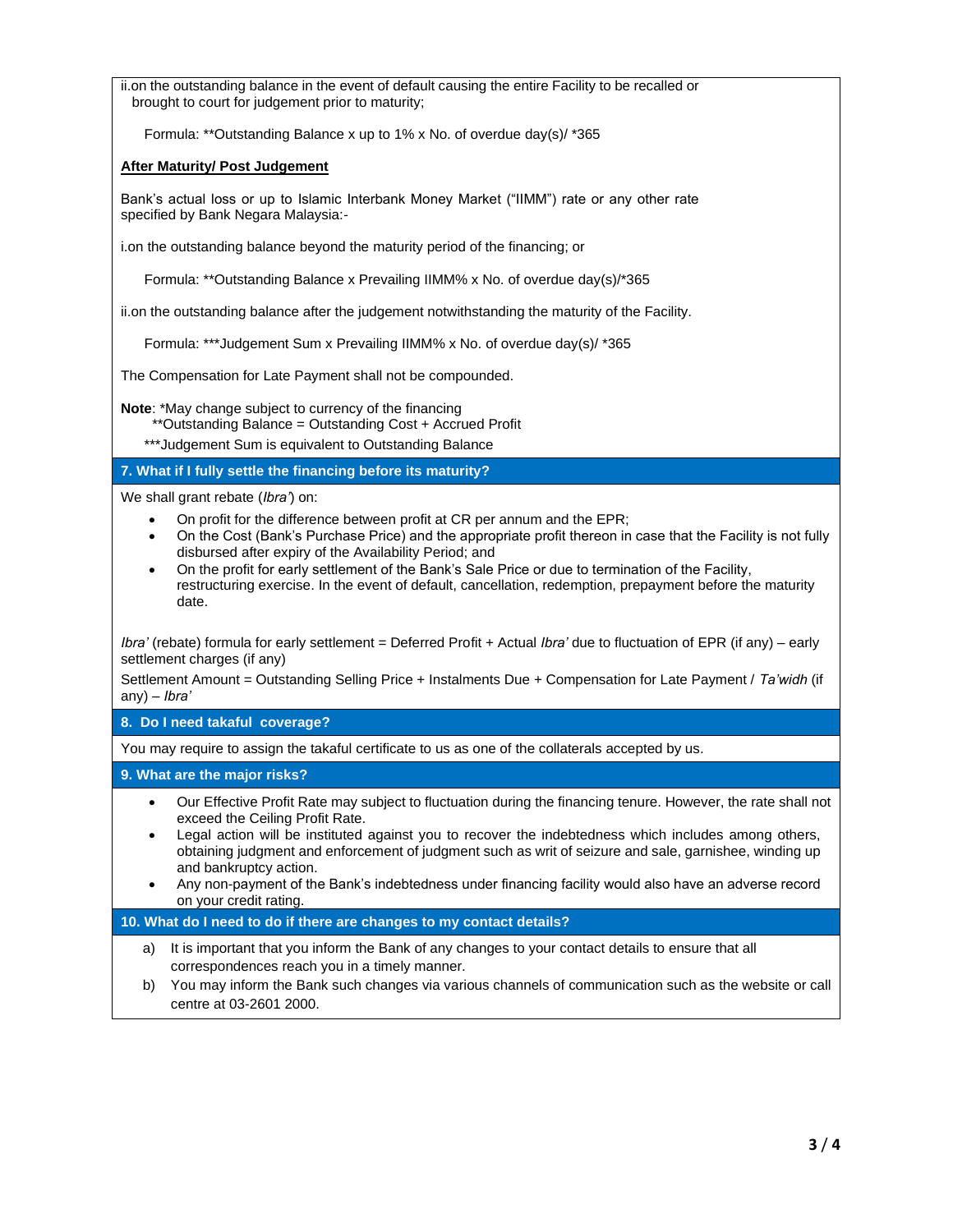ii.on the outstanding balance in the event of default causing the entire Facility to be recalled or brought to court for judgement prior to maturity;

Formula: \*\*Outstanding Balance x up to 1% x No. of overdue day(s)/ \*365

# **After Maturity/ Post Judgement**

Bank's actual loss or up to Islamic Interbank Money Market ("IIMM") rate or any other rate specified by Bank Negara Malaysia:-

i.on the outstanding balance beyond the maturity period of the financing; or

Formula: \*\*Outstanding Balance x Prevailing IIMM% x No. of overdue day(s)/\*365

ii.on the outstanding balance after the judgement notwithstanding the maturity of the Facility.

Formula: \*\*\*Judgement Sum x Prevailing IIMM% x No. of overdue day(s)/ \*365

The Compensation for Late Payment shall not be compounded.

**Note**: \*May change subject to currency of the financing

- \*\*Outstanding Balance = Outstanding Cost + Accrued Profit
- \*\*\*Judgement Sum is equivalent to Outstanding Balance

## **7. What if I fully settle the financing before its maturity?**

We shall grant rebate (*Ibra'*) on:

- On profit for the difference between profit at CR per annum and the EPR;
- On the Cost (Bank's Purchase Price) and the appropriate profit thereon in case that the Facility is not fully disbursed after expiry of the Availability Period; and
- On the profit for early settlement of the Bank's Sale Price or due to termination of the Facility, restructuring exercise. In the event of default, cancellation, redemption, prepayment before the maturity date.

*Ibra'* (rebate) formula for early settlement = Deferred Profit + Actual *Ibra'* due to fluctuation of EPR (if any) – early settlement charges (if any)

Settlement Amount = Outstanding Selling Price + Instalments Due + Compensation for Late Payment / *Ta'widh* (if any) – *Ibra'* 

**8. Do I need takaful coverage?**

You may require to assign the takaful certificate to us as one of the collaterals accepted by us.

**9. What are the major risks?**

- Our Effective Profit Rate may subject to fluctuation during the financing tenure. However, the rate shall not exceed the Ceiling Profit Rate.
- Legal action will be instituted against you to recover the indebtedness which includes among others, obtaining judgment and enforcement of judgment such as writ of seizure and sale, garnishee, winding up and bankruptcy action.
- Any non-payment of the Bank's indebtedness under financing facility would also have an adverse record on your credit rating.

# **10. What do I need to do if there are changes to my contact details?**

- a) It is important that you inform the Bank of any changes to your contact details to ensure that all correspondences reach you in a timely manner.
- b) You may inform the Bank such changes via various channels of communication such as the website or call centre at 03-2601 2000.